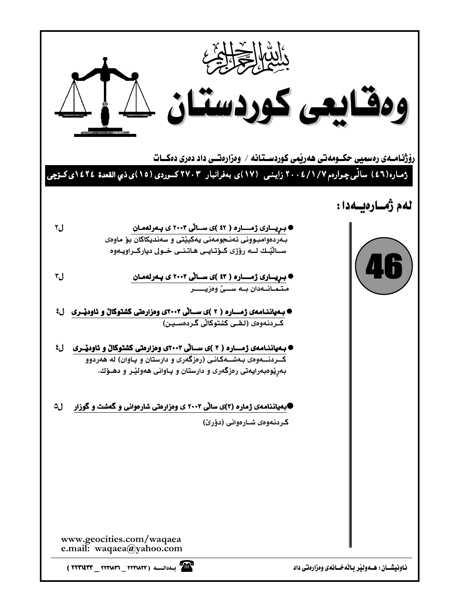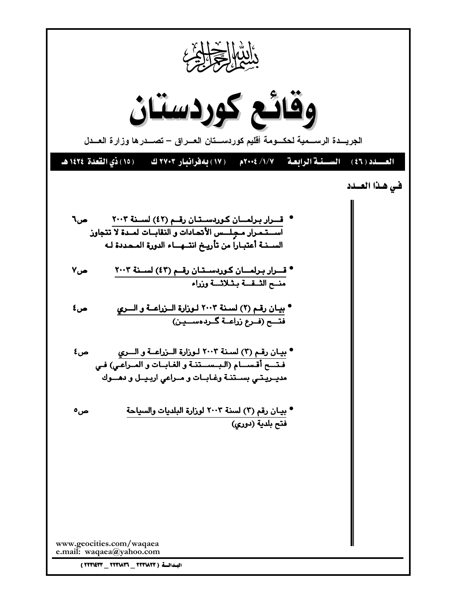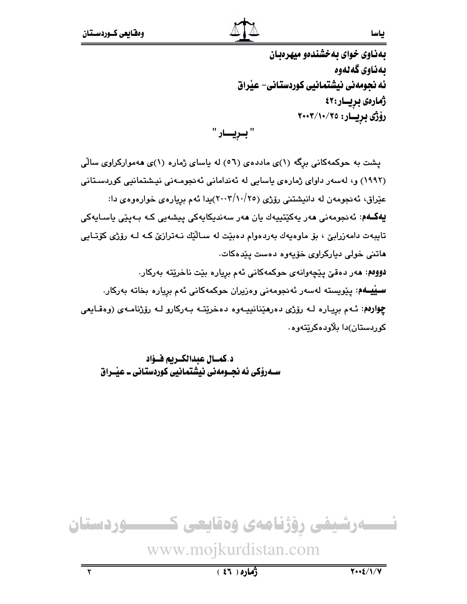ياسا

بهذاوي خواي به خشندهو ميهرهبان بەناوي گەلەوە ئه نجومهنی نیشتمانیی کوردستانی- عیراق ژمارەى بريــار:٤٢ رۆژى بريــار: ٢٠٠٣/١٠/٢٥

" بىرپسار "

پشت به حوکمهکانی برگه (۱)ی ماددهی (۵٦) له باسای ژماره (۱)ی ههموارکراوی سالی (۱۹۹۲) و، لەسەر داوای ژمارەی ياسايى لە ئەندامانى ئەنجومـەنى نيـشتمانيى كوردسـتانى عیّراق، ئەنجومەن لە دانیشتنی رۆژی (٢٥/١٠//٢٠٠٣)پدا ئەم بریارەی خوارەوەی دا: **يەكــەم**: ئەنجومەنى ھەر پەكێتپپەك يان ھەر سەندىكايەكى پيشەيى كـە بـەيێى ياسـايەكى تايبەت دامەزرابىّ ، بۆ ماوەيەك بەردەوام دەبێت لە سـالٚێك نـەترازىّ كـە لـە رۆژى كۆتـايى ماتنی خولی دیارکراوی خۆیەوه دەست یێدەکات. دوومم: مەر دەقىّ يێچەوانەي حوكمەكانى ئەم بريارە بێت ناخرێتە بەركار. **ســێيــهم**: پێویسته لهسهر ئهنجومهنی وهزیران حوکمهکانی ئهم بریاره بخاته بهرکار. چوارهم: ئـهم بريـاره لـه رۆژى دەرھێنانييـهوه دەخرێتـه بـهركارو لـه رۆژنامـهى (وەقـايعى کوردستان)دا بلاودهکریتهوه٠

د.كمــال عبدالكــريم فــؤاد ســهروکی ئه نجــومهنی نیشتمانیی کوردستانی ــ عیـْـراق

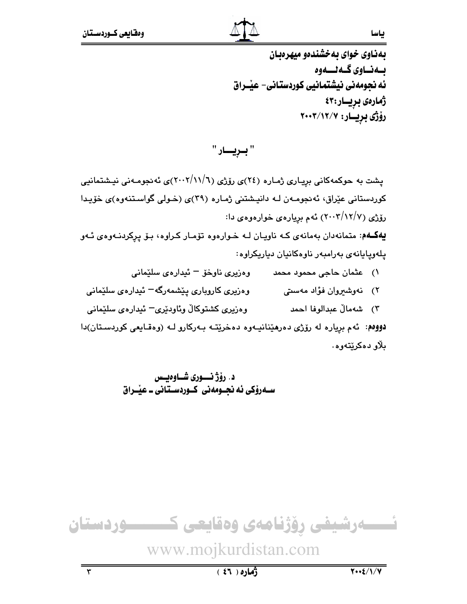ياسا

بهناوي خواي بهخشندهو ميهرهبان بــەنــاوى گــەنــــەوە ئه نجومەنى نيشتمانيى كوردستانى- عيْــراق ژمارەى بريــار:٤٣ رۆژى بريسار: ۲۰۰۳/۱۲/۷

" بـريـــار "

یشت به حوکمهکانی بریاری ژماره (٢٤)ی رۆژی (٦/١١/٦)ی)ی ئه نجومـهنی نیـشتمانیی کوردستانی عیّراق، ئەنجومەن لـه دانیشتنی ژماره (۳۹)ی (خـولی گواسـتنەوه)ی خوّیـدا رۆژى (٢٠٠٣/١٢/٧) ئەم بېيارەي خوارەوەي دا:

یهکهم: متمانهدان بهمانهی که ناویان لـه خـوارهوه توّمـار کـراوه، بـوّ یرکردنـهوهی ئـهو يلەويايانەي بەرامبەر ناوەكانيان دياريكراوە:

- ١) عثمان حاجي محمود محمد وهزيري ناوخۆ ئيدارەي سلێماني
- وەزىرى كاروپارى يېشمەرگە ئىدارەي سليمانى ۲) فەوشىروان فۇاد مەسىتى
- وەزيرى كشتوكالْ وئاودێرى<sup>—</sup> ئېدارەي سلێمانى ٣) شەمالٌ عبدالوفا احمد

دوومم: ئهم برياره له رۆژى دەرمينانيـهوه دەخريتـه بـهركارو لـه (وەقـايعى كوردسـتان)دا بلاو دەكرێتەوە.

> د. رۆژ نسورى شـاوەيسى سـهروکي ئه نحـومهني کـوردسـتاني ـ عيْـراق

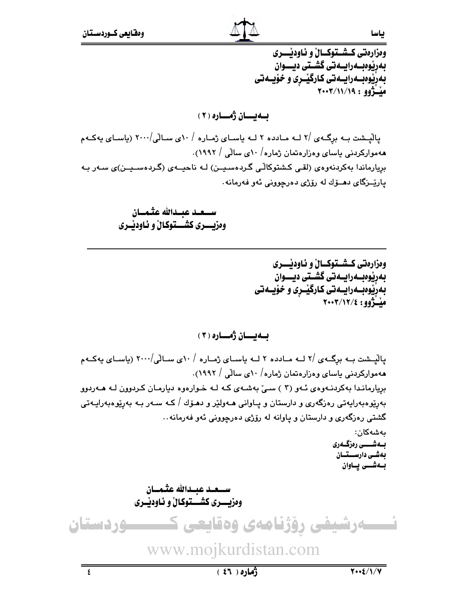ياسا

ومزارمتي كـشـتوكــالْ و ئـاودێــــرى بەرپوەبەرايىەتى گشىتى ديـــوان بەريوەبىمرايىەتى كارگيىرى و خۆيىەتى ميْتَژوو : ٢٠٠٣/١١/١٩

ىسەيسسان ژەسسارە ( ۲ )

یالْیشت بـه برگـهی /۲ لـه مـادده ۲ لـه یاسـای ژمـاره / ۱۰ی سـالّی/۲۰۰۰ (یاسـای یهکـهم ههموارکردنی یاسای وهزارهتمان ژماره/ ۱۰ی سالّی / ۱۹۹۲). بريارماندا بەكردنەوەي (لقى كشتوكالّى گـردەسـيــن) لـە ناحيــەي (گـردەسـيــن)ى سـەر بـە ياريّــزگاى دهــۆك له رۆژى دەرچوونى ئەو فەرمانە.

> ومزيــــري كشـــتوكـالْ و ئـاودێــري

> > ومزارهتي كـشـتوكــالٌ و ئـاودنــــري بەرپوەبەرايىەتى گشىتى ديـــوان بەريوەبىەرايىەتى كارگيىرى و خۆيىەتى ملّتُوو: ٢٠٠٢/١٢/٤

بهيسان ژمساره ( ۳ )

یالیشت بـه برگـهى /۲ لـه مـادده ۲ لـه یاسـاى ژمـاره / ۱۰ى سـالّى/۲۰۰۰ (یاسـاى یهكـهم ههموارکردنی باسای وهزارهتمان ژماره/ ۱۰ی سالّی / ۱۹۹۲). بریارماندا بهکردنهوهی ئهو (۳) سیّ بهشهی که له خوارهوه دیارمان کردوون له ههردوو بەرپوەبەرايەتى رەزگەرى و دارستان و پــاوانى ھــەولێر و دھـۆك / كــە ســەر بــە بەرێوەبەرايــەتى گشتی رهزگهری و دارستان و پاوانه له رۆژی دهرچوونی ئهو فهرمانه.. ىەشەكان: بــەشــــى رەزگــەرى بەشى دارســتـان بــهشــــى يـــاوان وهزيــــري كشــــتوكـالْ و ئـاوديْــري نسسمرشیفی رؤژنامهی وهقایعی ک ـــــودستان www.mojkurdistan.com

 $\overline{\epsilon}$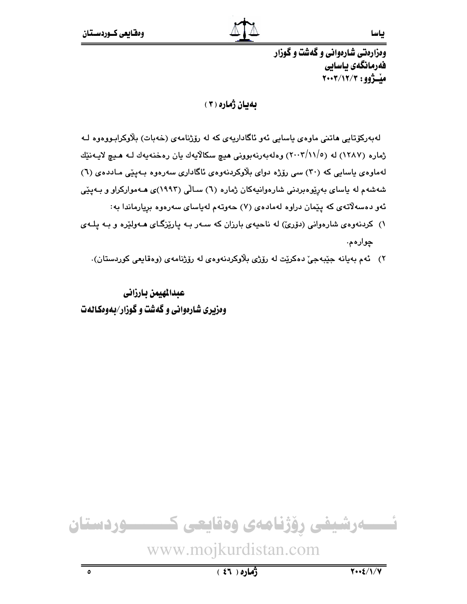ومزارهتي شارهواني و گهشت و گوزار فەرمانگەي ياسايى ميْــژوو: ٢٠٠٣/١٢/٣

# بهيان ژماره (٢)

لەبەركۆتايى ھاتنى ماوەي ياسايى ئەو ئاگاداريەي كە لە رۆژنامەي (خەبات) بلاوكرابىووەوە لـە ژماره (۱۲۸۷) له (۲۰۰۳/۱۱/٥) وهلهبهرنهبوونی هیچ سکالایهك یان رهخنهبهك لـه هـیچ لایـهنێك لهماوهي پاسايي که (۳۰) سي رۆژه دواي بلاوکردنهوهي ئاگاداري سهرهوه بـهيێي مـاددهي (٦) شەشەم لە ياساي بەرێوەبردنى شارەوانيەكان ژمارە (٦) سـالْي (١٩٩٣)ى ھـەمواركراو و بـەيێى ئەو دەسەلاتەي كە يێمان دراوە لەمادەي (٧) حەوتەم لەياساي سەرەوە بريارماندا بە:

- ۱) کردنهوهی شارهوانی (دۆریؒ) له ناحیهی بارزان که سـهر بـه پارێزگـای هـهولێره و بـه پلـهی ڇوارهم.
	- ٢) ئه م بهيانه جێبهجيّ دهكريّت له رۆژي بلاوكردنهوهي له رۆژنامهي (وهقايعي كوردستان).

عبدالهيمن بارزانى وهزیری شارهوانی و گهشت و گوزار/بهوهکالهت

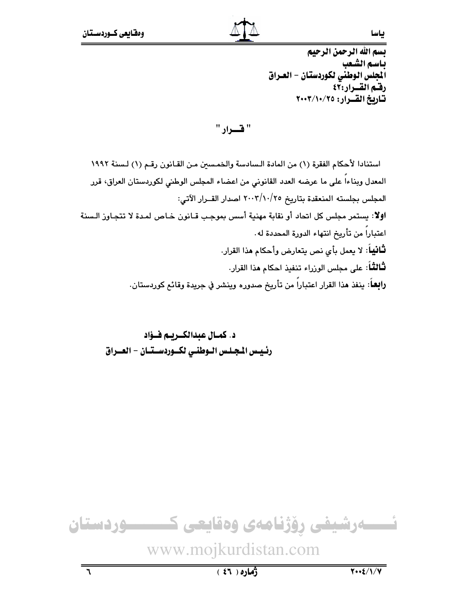بسم الله الرحمن الرحيم باسم الشعب .<br>الجلس الوطني لكوردستان - العـراق رفسم القسرار:٤٢ تاريخ القرار: ٢٠٠٣/١٠/٢٥

" قسرار "

استنادا لأحكام الفقرة (١) من المادة السادسة والخمسين من القانون رقم (١) لسنة ١٩٩٢ المعدل وبناءاً على ما عرضه العدد القانوني من اعضاء المجلس الوطني لكوردستان العراق، قرر المجلس بجلسته المنعقدة بتاريخ ٢٠٠٣/١٠/٢٥ اصدار القــرار الآتي: اولا: يستمر مجلس كل اتحاد أو نقابة مهنية أسس بموجب قـانون خـاص لمـدة لا تتجـاوز الـسنة اعتباراً من تأريخ انتهاء الدورة المحددة له . **ثـانيـاً**: لا يعمل بأى نص يتعارض وأحكام هذا القرار. **ثَـالثَـ**اً: على مجلس الوزراء تنفيذ احكام **م**ذا القرار. را**بعـ**اً: ينفذ هذا القرار اعتباراً من تأريخ صدوره وينشر في جريدة وقائع كوردستان.

د. كمال عبدالكبرييم فيؤاد رئيس المجلس الوطني لكسوردسـتـان - العــراق